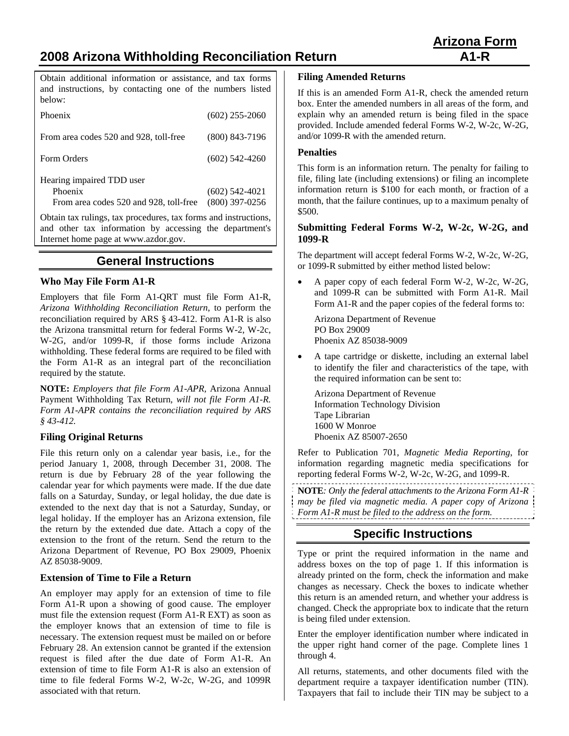# **2008 Arizona Withholding Reconciliation Return A1-R**

Obtain additional information or assistance, and tax forms and instructions, by contacting one of the numbers listed below:

| Phoenix                                                                        | $(602)$ 255-2060                     |
|--------------------------------------------------------------------------------|--------------------------------------|
| From area codes 520 and 928, toll-free                                         | $(800)$ 843-7196                     |
| Form Orders                                                                    | $(602)$ 542-4260                     |
| Hearing impaired TDD user<br>Phoenix<br>From area codes 520 and 928, toll-free | $(602)$ 542-4021<br>$(800)$ 397-0256 |

Obtain tax rulings, tax procedures, tax forms and instructions, and other tax information by accessing the department's Internet home page at www.azdor.gov.

# **General Instructions**

#### **Who May File Form A1-R**

Employers that file Form A1-QRT must file Form A1-R, *Arizona Withholding Reconciliation Return*, to perform the reconciliation required by ARS § 43-412. Form A1-R is also the Arizona transmittal return for federal Forms W-2, W-2c, W-2G, and/or 1099-R, if those forms include Arizona withholding. These federal forms are required to be filed with the Form A1-R as an integral part of the reconciliation required by the statute.

**NOTE:** *Employers that file Form A1-APR,* Arizona Annual Payment Withholding Tax Return*, will not file Form A1-R. Form A1-APR contains the reconciliation required by ARS § 43-412.*

### **Filing Original Returns**

File this return only on a calendar year basis, i.e., for the period January 1, 2008, through December 31, 2008. The return is due by February 28 of the year following the calendar year for which payments were made. If the due date falls on a Saturday, Sunday, or legal holiday, the due date is extended to the next day that is not a Saturday, Sunday, or legal holiday. If the employer has an Arizona extension, file the return by the extended due date. Attach a copy of the extension to the front of the return. Send the return to the Arizona Department of Revenue, PO Box 29009, Phoenix AZ 85038-9009.

#### **Extension of Time to File a Return**

An employer may apply for an extension of time to file Form A1-R upon a showing of good cause. The employer must file the extension request (Form A1-R EXT) as soon as the employer knows that an extension of time to file is necessary. The extension request must be mailed on or before February 28. An extension cannot be granted if the extension request is filed after the due date of Form A1-R. An extension of time to file Form A1-R is also an extension of time to file federal Forms W-2, W-2c, W-2G, and 1099R associated with that return.

#### **Filing Amended Returns**

If this is an amended Form A1-R, check the amended return box. Enter the amended numbers in all areas of the form, and explain why an amended return is being filed in the space provided. Include amended federal Forms W-2, W-2c, W-2G, and/or 1099-R with the amended return.

#### **Penalties**

This form is an information return. The penalty for failing to file, filing late (including extensions) or filing an incomplete information return is \$100 for each month, or fraction of a month, that the failure continues, up to a maximum penalty of \$500.

#### **Submitting Federal Forms W-2, W-2c, W-2G, and 1099-R**

The department will accept federal Forms W-2, W-2c, W-2G, or 1099-R submitted by either method listed below:

• A paper copy of each federal Form W-2, W-2c, W-2G, and 1099-R can be submitted with Form A1-R. Mail Form A1-R and the paper copies of the federal forms to:

Arizona Department of Revenue PO Box 29009 Phoenix AZ 85038-9009

• A tape cartridge or diskette, including an external label to identify the filer and characteristics of the tape, with the required information can be sent to:

 Arizona Department of Revenue Information Technology Division Tape Librarian 1600 W Monroe Phoenix AZ 85007-2650

Refer to Publication 701, *Magnetic Media Reporting*, for information regarding magnetic media specifications for reporting federal Forms W-2, W-2c, W-2G, and 1099-R.

- **NOTE***: Only the federal attachments to the Arizona Form A1-R*
- *may be filed via magnetic media. A paper copy of Arizona*
- *Form A1-R must be filed to the address on the form.*

# **Specific Instructions**

Type or print the required information in the name and address boxes on the top of page 1. If this information is already printed on the form, check the information and make changes as necessary. Check the boxes to indicate whether this return is an amended return, and whether your address is changed. Check the appropriate box to indicate that the return is being filed under extension.

Enter the employer identification number where indicated in the upper right hand corner of the page. Complete lines 1 through 4.

All returns, statements, and other documents filed with the department require a taxpayer identification number (TIN). Taxpayers that fail to include their TIN may be subject to a